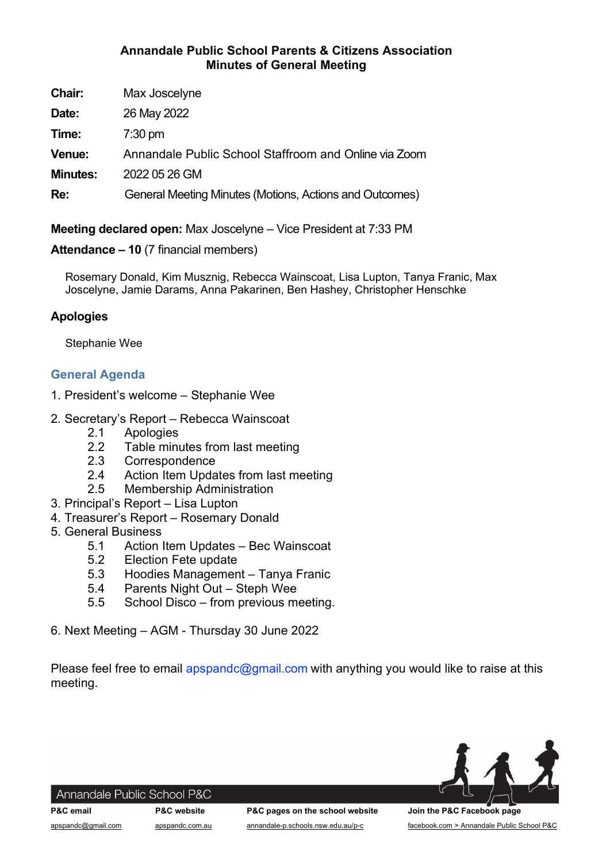# Annandale Public School Parents & Citizens Association Minutes of General Meeting

| Chair:          | Max Joscelyne                                           |
|-----------------|---------------------------------------------------------|
| Date:           | 26 May 2022                                             |
| Time:           | $7:30$ pm                                               |
| Venue:          | Annandale Public School Staffroom and Online via Zoom   |
| <b>Minutes:</b> | 2022 05 26 GM                                           |
| Re:             | General Meeting Minutes (Motions, Actions and Outcomes) |

Meeting declared open: Max Joscelyne – Vice President at 7:33 PM

# Attendance – 10 (7 financial members)

Rosemary Donald, Kim Musznig, Rebecca Wainscoat, Lisa Lupton, Tanya Franic, Max Joscelyne, Jamie Darams, Anna Pakarinen, Ben Hashey, Christopher Henschke

# Apologies

Stephanie Wee

# General Agenda

- 1. President's welcome Stephanie Wee
- 2. Secretary's Report Rebecca Wainscoat
	- 2.1 Apologies
	- 2.2 Table minutes from last meeting
	- 2.3 Correspondence
	- 2.4 Action Item Updates from last meeting
	- 2.5 Membership Administration
- 3. Principal's Report Lisa Lupton
- 4. Treasurer's Report Rosemary Donald
- 5. General Business
	- 5.1 Action Item Updates Bec Wainscoat
	- 5.2 Election Fete update
	- 5.3 Hoodies Management Tanya Franic
	- 5.4 Parents Night Out Steph Wee
	- 5.5 School Disco from previous meeting.
- 6. Next Meeting AGM Thursday 30 June 2022

Please feel free to email apspandc@gmail.com with anything you would like to raise at this meeting.



#### Annandale Public School P&C

P&C email **P&C website** P&C pages on the school website Join the P&C Facebook page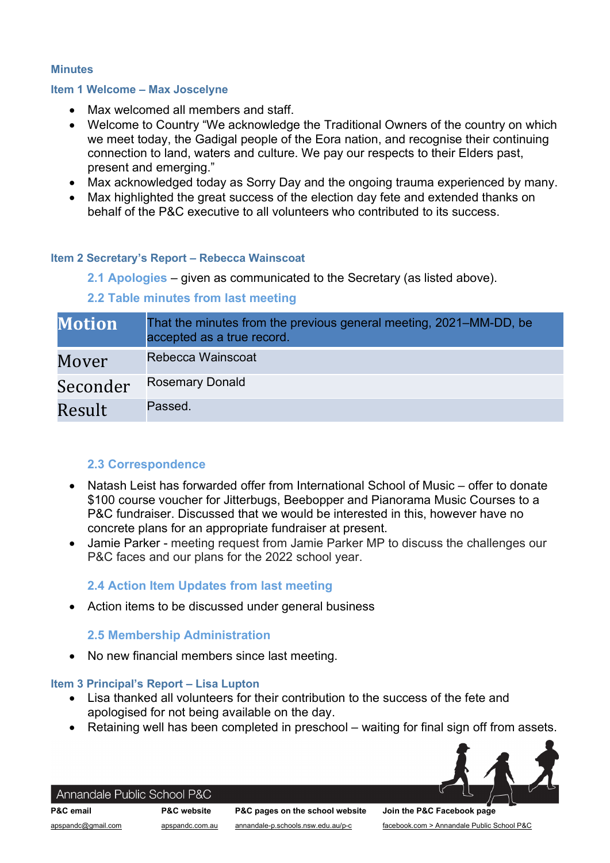#### **Minutes**

#### Item 1 Welcome – Max Joscelyne

- Max welcomed all members and staff.
- Welcome to Country "We acknowledge the Traditional Owners of the country on which we meet today, the Gadigal people of the Eora nation, and recognise their continuing connection to land, waters and culture. We pay our respects to their Elders past, present and emerging."
- Max acknowledged today as Sorry Day and the ongoing trauma experienced by many.
- Max highlighted the great success of the election day fete and extended thanks on behalf of the P&C executive to all volunteers who contributed to its success.

### Item 2 Secretary's Report – Rebecca Wainscoat

2.1 Apologies – given as communicated to the Secretary (as listed above).

## 2.2 Table minutes from last meeting

| <b>Motion</b> | That the minutes from the previous general meeting, 2021–MM-DD, be<br>accepted as a true record. |
|---------------|--------------------------------------------------------------------------------------------------|
| Mover         | Rebecca Wainscoat                                                                                |
| Seconder      | <b>Rosemary Donald</b>                                                                           |
| Result        | Passed.                                                                                          |

## 2.3 Correspondence

- Natash Leist has forwarded offer from International School of Music offer to donate \$100 course voucher for Jitterbugs, Beebopper and Pianorama Music Courses to a P&C fundraiser. Discussed that we would be interested in this, however have no concrete plans for an appropriate fundraiser at present.
- Jamie Parker meeting request from Jamie Parker MP to discuss the challenges our P&C faces and our plans for the 2022 school year.

## 2.4 Action Item Updates from last meeting

Action items to be discussed under general business

### 2.5 Membership Administration

No new financial members since last meeting.

#### Item 3 Principal's Report – Lisa Lupton

- Lisa thanked all volunteers for their contribution to the success of the fete and apologised for not being available on the day.
- Retaining well has been completed in preschool waiting for final sign off from assets.



# Annandale Public School P&C

P&C email P&C website P&C pages on the school website Join the P&C Facebook page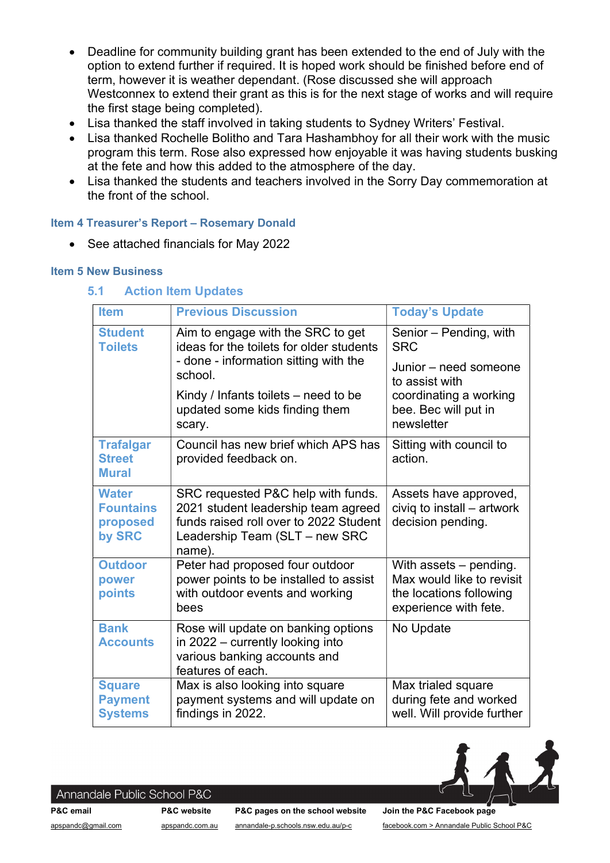- Deadline for community building grant has been extended to the end of July with the option to extend further if required. It is hoped work should be finished before end of term, however it is weather dependant. (Rose discussed she will approach Westconnex to extend their grant as this is for the next stage of works and will require the first stage being completed).
- Lisa thanked the staff involved in taking students to Sydney Writers' Festival.
- Lisa thanked Rochelle Bolitho and Tara Hashambhoy for all their work with the music program this term. Rose also expressed how enjoyable it was having students busking at the fete and how this added to the atmosphere of the day.
- Lisa thanked the students and teachers involved in the Sorry Day commemoration at the front of the school.

### Item 4 Treasurer's Report – Rosemary Donald

• See attached financials for May 2022

### Item 5 New Business

### 5.1 Action Item Updates

| <b>Item</b>                                            | <b>Previous Discussion</b>                                                                                                                                      | <b>Today's Update</b>                                                                                   |
|--------------------------------------------------------|-----------------------------------------------------------------------------------------------------------------------------------------------------------------|---------------------------------------------------------------------------------------------------------|
| <b>Student</b><br><b>Toilets</b>                       | Aim to engage with the SRC to get<br>ideas for the toilets for older students<br>- done - information sitting with the                                          | Senior – Pending, with<br><b>SRC</b><br>Junior – need someone                                           |
|                                                        | school.<br>Kindy / Infants toilets $-$ need to be<br>updated some kids finding them<br>scary.                                                                   | to assist with<br>coordinating a working<br>bee. Bec will put in<br>newsletter                          |
| <b>Trafalgar</b><br><b>Street</b><br><b>Mural</b>      | Council has new brief which APS has<br>provided feedback on.                                                                                                    | Sitting with council to<br>action.                                                                      |
| <b>Water</b><br><b>Fountains</b><br>proposed<br>by SRC | SRC requested P&C help with funds.<br>2021 student leadership team agreed<br>funds raised roll over to 2022 Student<br>Leadership Team (SLT - new SRC<br>name). | Assets have approved,<br>civiq to install - artwork<br>decision pending.                                |
| <b>Outdoor</b><br>power<br>points                      | Peter had proposed four outdoor<br>power points to be installed to assist<br>with outdoor events and working<br>bees                                            | With assets - pending.<br>Max would like to revisit<br>the locations following<br>experience with fete. |
| <b>Bank</b><br><b>Accounts</b>                         | Rose will update on banking options<br>in 2022 - currently looking into<br>various banking accounts and<br>features of each.                                    | No Update                                                                                               |
| <b>Square</b><br><b>Payment</b><br><b>Systems</b>      | Max is also looking into square<br>payment systems and will update on<br>findings in 2022.                                                                      | Max trialed square<br>during fete and worked<br>well. Will provide further                              |



#### Annandale Public School P&C

P&C email P&C website P&C pages on the school website Join the P&C Facebook page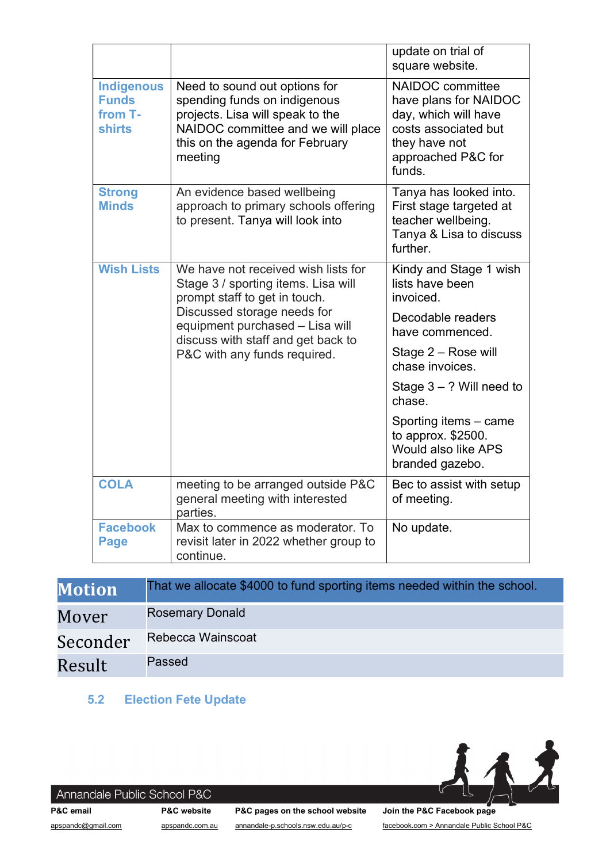|                                                               |                                                                                                                                                                                                                                                     | update on trial of<br>square website.                                                                                                                                                                                                                                     |
|---------------------------------------------------------------|-----------------------------------------------------------------------------------------------------------------------------------------------------------------------------------------------------------------------------------------------------|---------------------------------------------------------------------------------------------------------------------------------------------------------------------------------------------------------------------------------------------------------------------------|
| <b>Indigenous</b><br><b>Funds</b><br>from T-<br><b>shirts</b> | Need to sound out options for<br>spending funds on indigenous<br>projects. Lisa will speak to the<br>NAIDOC committee and we will place<br>this on the agenda for February<br>meeting                                                               | NAIDOC committee<br>have plans for NAIDOC<br>day, which will have<br>costs associated but<br>they have not<br>approached P&C for<br>funds.                                                                                                                                |
| <b>Strong</b><br><b>Minds</b>                                 | An evidence based wellbeing<br>approach to primary schools offering<br>to present. Tanya will look into                                                                                                                                             | Tanya has looked into.<br>First stage targeted at<br>teacher wellbeing.<br>Tanya & Lisa to discuss<br>further.                                                                                                                                                            |
| <b>Wish Lists</b>                                             | We have not received wish lists for<br>Stage 3 / sporting items. Lisa will<br>prompt staff to get in touch.<br>Discussed storage needs for<br>equipment purchased - Lisa will<br>discuss with staff and get back to<br>P&C with any funds required. | Kindy and Stage 1 wish<br>lists have been<br>invoiced.<br>Decodable readers<br>have commenced.<br>Stage 2 – Rose will<br>chase invoices.<br>Stage $3 - ?$ Will need to<br>chase.<br>Sporting items - came<br>to approx. \$2500.<br>Would also like APS<br>branded gazebo. |
| <b>COLA</b>                                                   | meeting to be arranged outside P&C<br>general meeting with interested<br>parties.                                                                                                                                                                   | Bec to assist with setup<br>of meeting.                                                                                                                                                                                                                                   |
| <b>Facebook</b><br><b>Page</b>                                | Max to commence as moderator. To<br>revisit later in 2022 whether group to<br>continue.                                                                                                                                                             | No update.                                                                                                                                                                                                                                                                |

| <b>Motion</b> | That we allocate \$4000 to fund sporting items needed within the school. |
|---------------|--------------------------------------------------------------------------|
| Mover         | <b>Rosemary Donald</b>                                                   |
| Seconder      | Rebecca Wainscoat                                                        |
| Result        | Passed                                                                   |

# 5.2 Election Fete Update



# Annandale Public School P&C

P&C email P&C website P&C pages on the school website Join the P&C Facebook page